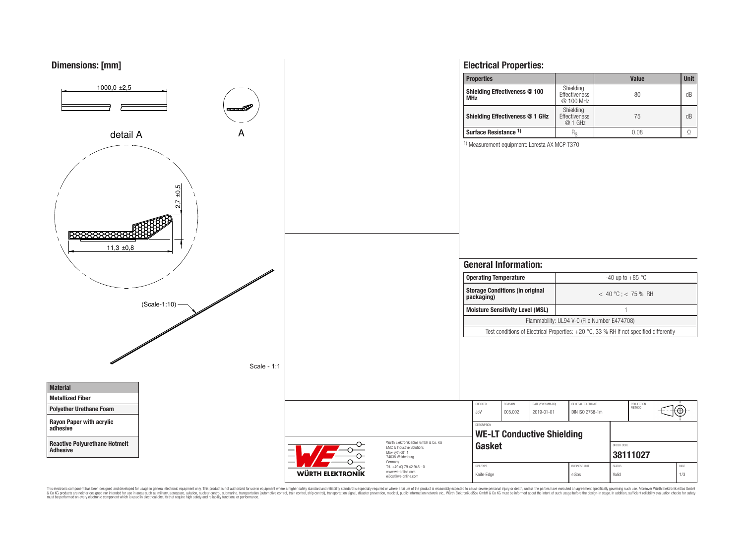

This electronic component has been designed and developed for usage in general electronic equipment only. This product is not authorized for use in equipment where a higher safely standard and reliability standard si espec & Ook product a label and the membed of the seasuch as marked and as which such a membed and the such assume that income in the seasuch and the simulation and the such assume that include to the such a membed and the such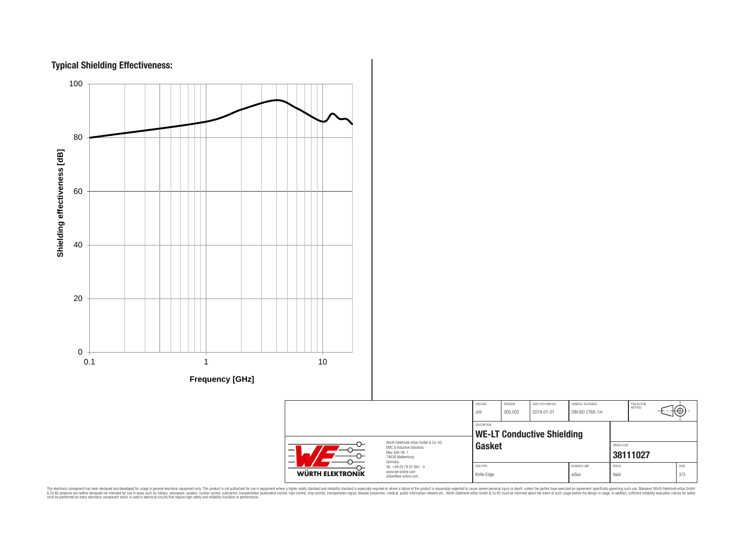



CHECKED REVISION DATE (YYYY-MM-DD) GENERAL TOLERANCE PROJECTION<br>METHOD ՜⊕ JoV 005.002 2019-01-01 DIN ISO 2768-1m DESCRIPTION **WE-LT Conductive Shielding** Würth Elektronik eiSos GmbH & Co. KG **Gasket Gasket** EMC & Inductive Solutions Max-Eyth-Str. 1 **[38111027](https://katalog.we-online.de/en/pbs/WE-LT/38111027)** 74638 Waldenburg Germany Tel. +49 (0) 79 42 945 - 0 SIZE/TYPE BUSINESS UNIT STATUS PAGE www.we-online.com WÜRTH ELEKTRONIK Knife-Edge eiSos | Valid 2/3 eiSos@we-online.com

This electronic component has been designed and developed for usage in general electronic equipment only. This product is not authorized for subserved requipment where a higher selection equipment where a higher selection